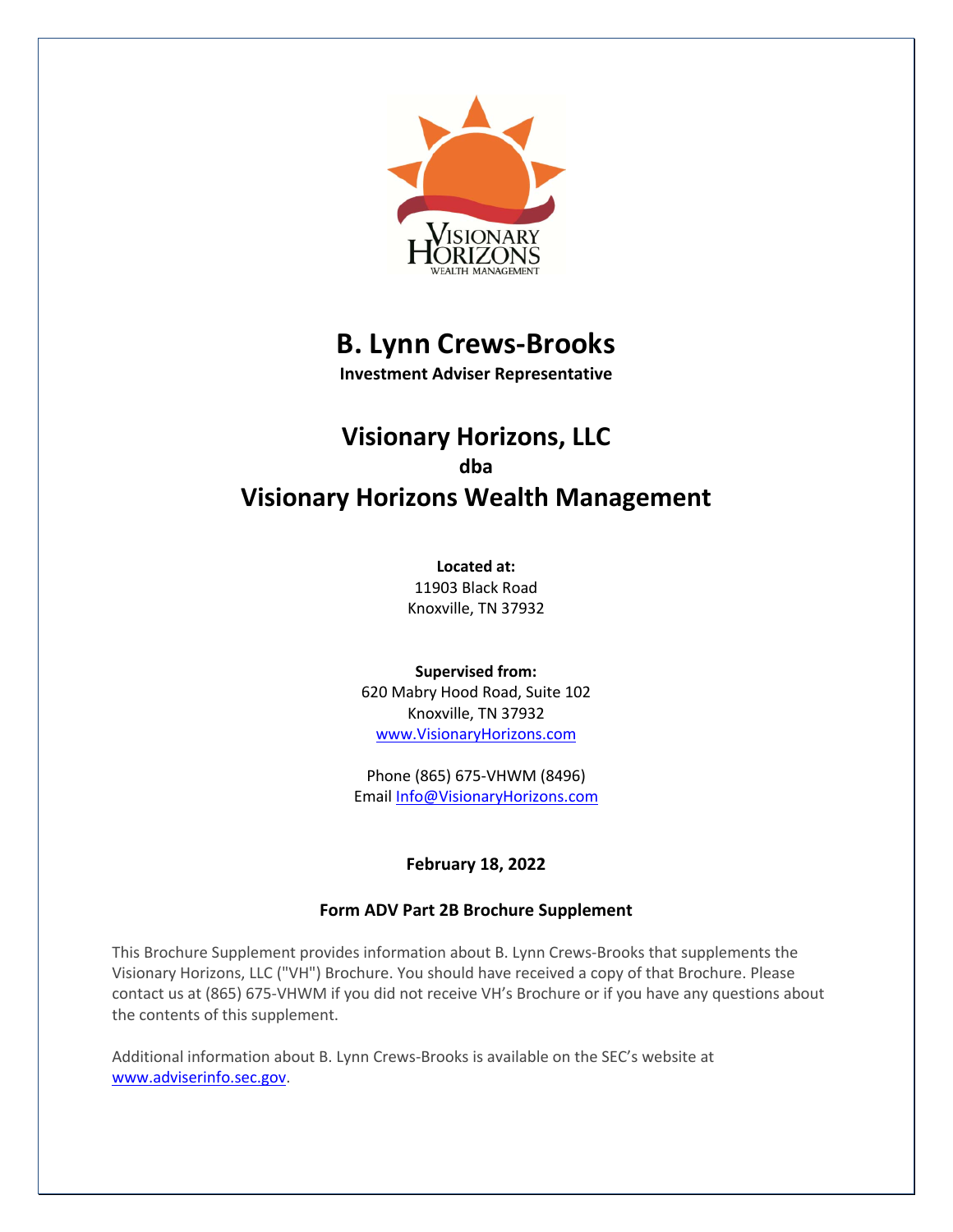

# **B. Lynn Crews-Brooks**

**Investment Adviser Representative**

# **Visionary Horizons, LLC dba Visionary Horizons Wealth Management**

**Located at:** 11903 Black Road Knoxville, TN 37932

**Supervised from:** 620 Mabry Hood Road, Suite 102 Knoxville, TN 37932 www.VisionaryHorizons.com

Phone (865) 675-VHWM (8496) Email Info@VisionaryHorizons.com

# **February 18, 2022**

# **Form ADV Part 2B Brochure Supplement**

This Brochure Supplement provides information about B. Lynn Crews-Brooks that supplements the Visionary Horizons, LLC ("VH") Brochure. You should have received a copy of that Brochure. Please contact us at (865) 675-VHWM if you did not receive VH's Brochure or if you have any questions about the contents of this supplement.

Additional information about B. Lynn Crews-Brooks is available on the SEC's website at www.adviserinfo.sec.gov.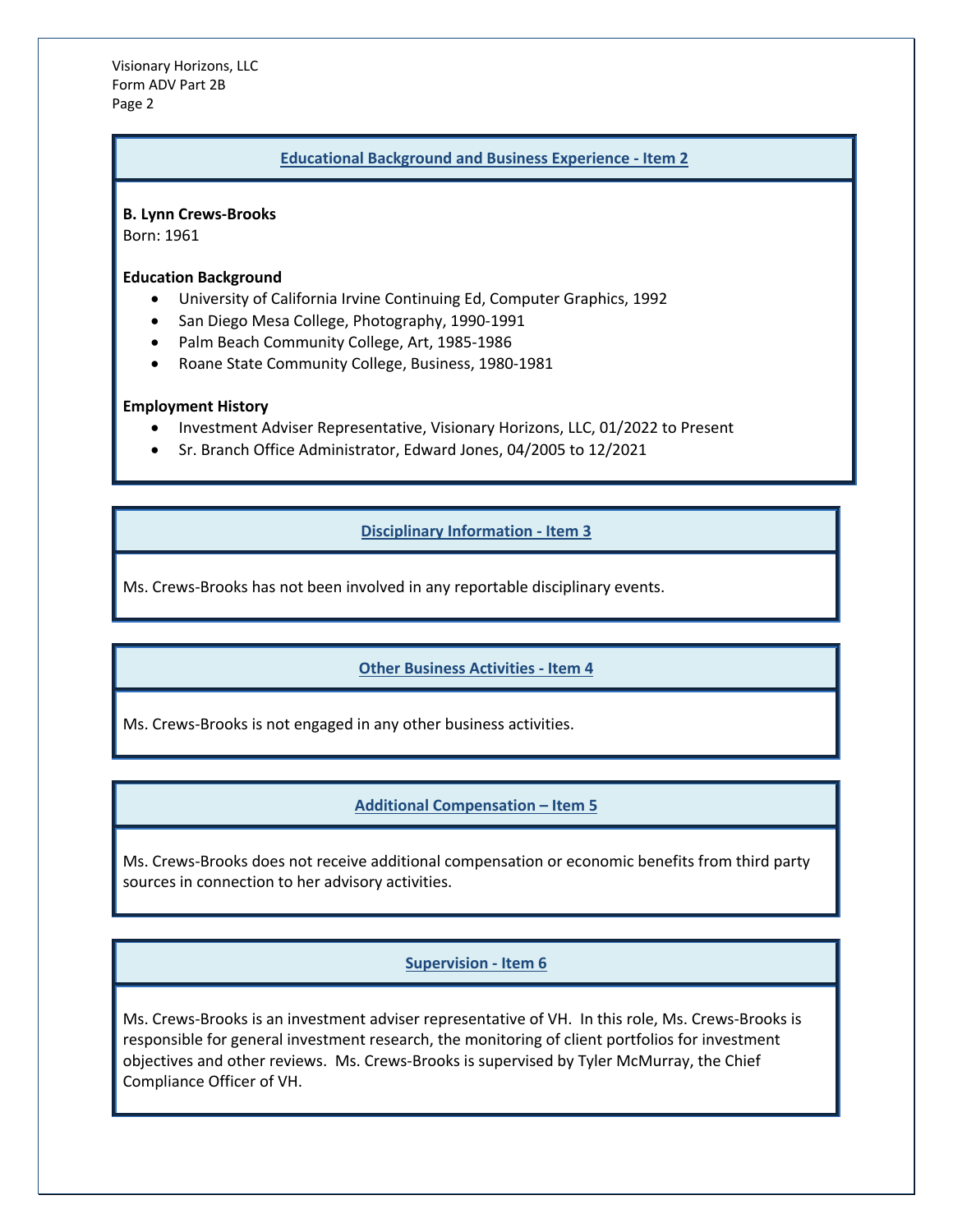Visionary Horizons, LLC Form ADV Part 2B Page 2

#### **Educational Background and Business Experience - Item 2**

**B. Lynn Crews-Brooks**

Born: 1961

### **Education Background**

- University of California Irvine Continuing Ed, Computer Graphics, 1992
- San Diego Mesa College, Photography, 1990-1991
- Palm Beach Community College, Art, 1985-1986
- Roane State Community College, Business, 1980-1981

#### **Employment History**

- Investment Adviser Representative, Visionary Horizons, LLC, 01/2022 to Present
- Sr. Branch Office Administrator, Edward Jones, 04/2005 to 12/2021

# **Disciplinary Information - Item 3**

Ms. Crews-Brooks has not been involved in any reportable disciplinary events.

## **Other Business Activities - Item 4**

Ms. Crews-Brooks is not engaged in any other business activities.

## **Additional Compensation – Item 5**

Ms. Crews-Brooks does not receive additional compensation or economic benefits from third party sources in connection to her advisory activities.

## **Supervision - Item 6**

Ms. Crews-Brooks is an investment adviser representative of VH. In this role, Ms. Crews-Brooks is responsible for general investment research, the monitoring of client portfolios for investment objectives and other reviews. Ms. Crews-Brooks is supervised by Tyler McMurray, the Chief Compliance Officer of VH.